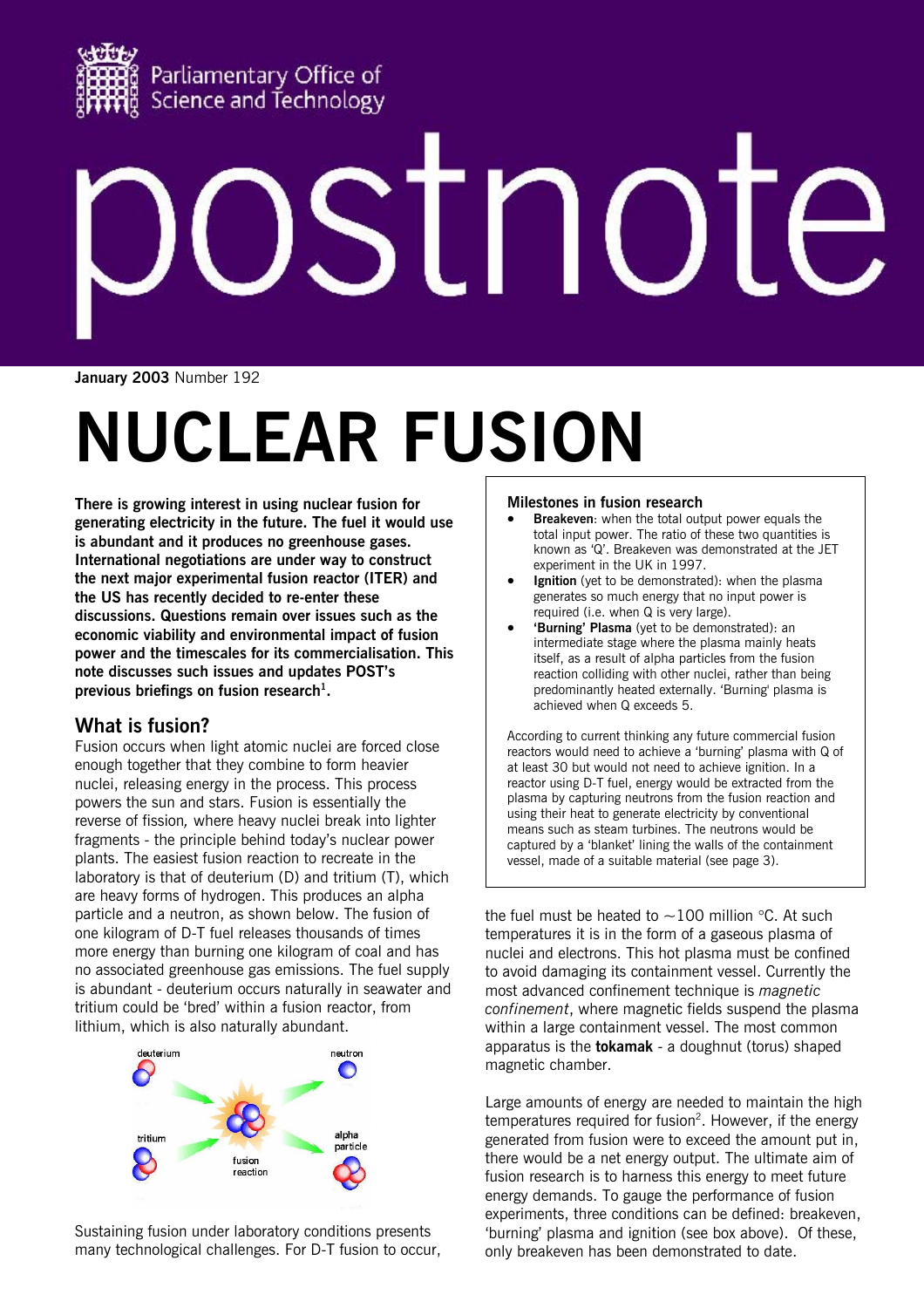

# $\overline{\phantom{a}}$

**January 2003** Number 192

# **NUCLEAR FUSION**

**There is growing interest in using nuclear fusion for generating electricity in the future. The fuel it would use is abundant and it produces no greenhouse gases. International negotiations are under way to construct the next major experimental fusion reactor (ITER) and the US has recently decided to re-enter these discussions. Questions remain over issues such as the economic viability and environmental impact of fusion power and the timescales for its commercialisation. This note discusses such issues and updates POST's**  previous briefings on fusion research<sup>1</sup>.

# **What is fusion?**

Fusion occurs when light atomic nuclei are forced close enough together that they combine to form heavier nuclei, releasing energy in the process. This process powers the sun and stars. Fusion is essentially the reverse of fission*,* where heavy nuclei break into lighter fragments - the principle behind today's nuclear power plants. The easiest fusion reaction to recreate in the laboratory is that of deuterium (D) and tritium (T), which are heavy forms of hydrogen. This produces an alpha particle and a neutron, as shown below. The fusion of one kilogram of D-T fuel releases thousands of times more energy than burning one kilogram of coal and has no associated greenhouse gas emissions. The fuel supply is abundant - deuterium occurs naturally in seawater and tritium could be 'bred' within a fusion reactor, from lithium, which is also naturally abundant.



Sustaining fusion under laboratory conditions presents many technological challenges. For D-T fusion to occur,

# **Milestones in fusion research**

- **Breakeven**: when the total output power equals the total input power. The ratio of these two quantities is known as 'Q'. Breakeven was demonstrated at the JET experiment in the UK in 1997.
- **Ignition** (yet to be demonstrated): when the plasma generates so much energy that no input power is required (i.e. when Q is very large).
- **'Burning' Plasma** (yet to be demonstrated): an intermediate stage where the plasma mainly heats itself, as a result of alpha particles from the fusion reaction colliding with other nuclei, rather than being predominantly heated externally. 'Burning' plasma is achieved when Q exceeds 5.

According to current thinking any future commercial fusion reactors would need to achieve a 'burning' plasma with Q of at least 30 but would not need to achieve ignition. In a reactor using D-T fuel, energy would be extracted from the plasma by capturing neutrons from the fusion reaction and using their heat to generate electricity by conventional means such as steam turbines. The neutrons would be captured by a 'blanket' lining the walls of the containment vessel, made of a suitable material (see page 3).

the fuel must be heated to  $\sim$ 100 million °C. At such temperatures it is in the form of a gaseous plasma of nuclei and electrons. This hot plasma must be confined to avoid damaging its containment vessel. Currently the most advanced confinement technique is *magnetic confinement*, where magnetic fields suspend the plasma within a large containment vessel. The most common apparatus is the **tokamak** - a doughnut (torus) shaped magnetic chamber.

Large amounts of energy are needed to maintain the high temperatures required for fusion<sup>2</sup>. However, if the energy generated from fusion were to exceed the amount put in, there would be a net energy output. The ultimate aim of fusion research is to harness this energy to meet future energy demands. To gauge the performance of fusion experiments, three conditions can be defined: breakeven, 'burning' plasma and ignition (see box above). Of these, only breakeven has been demonstrated to date.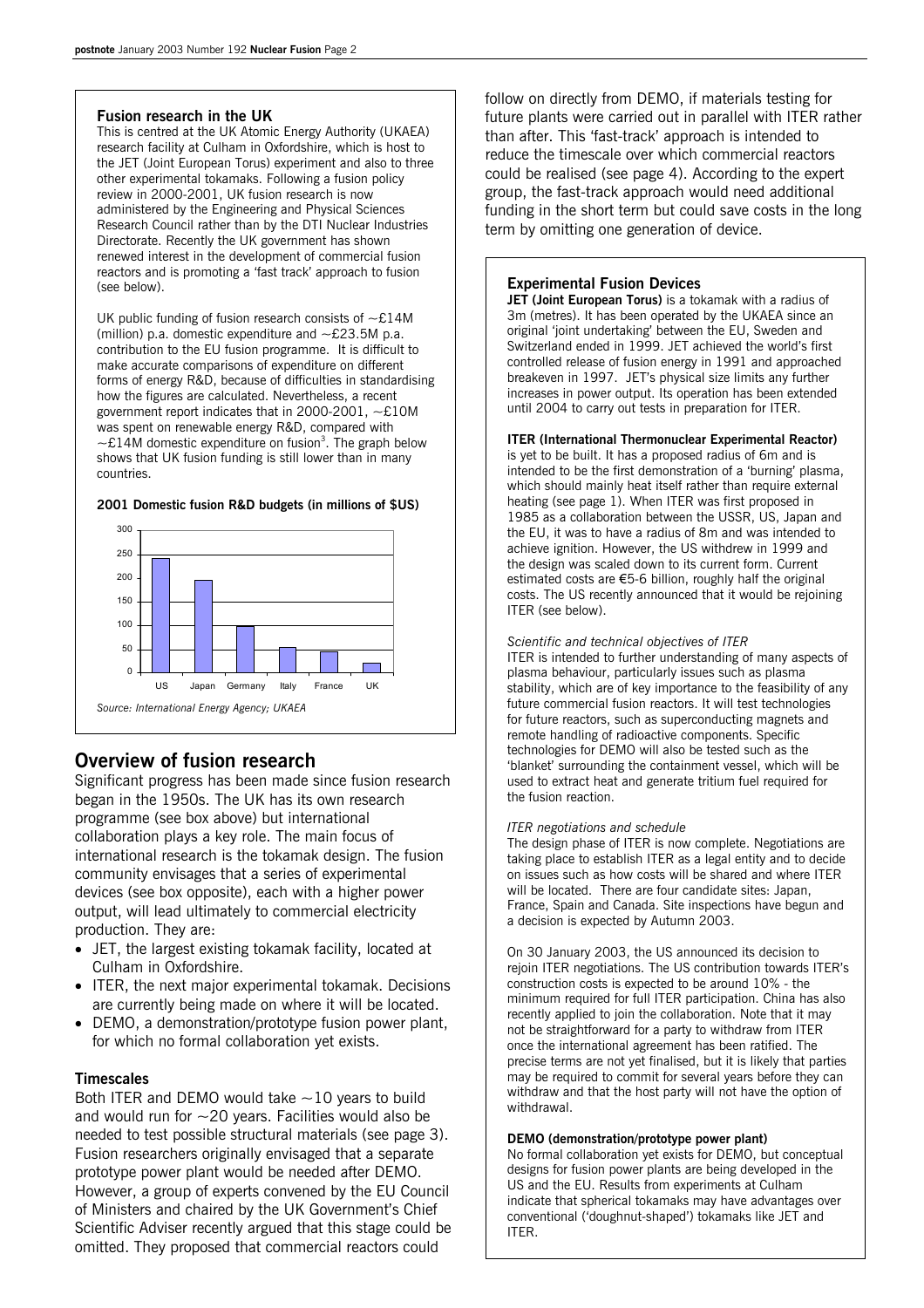# **Fusion research in the UK**

This is centred at the UK Atomic Energy Authority (UKAEA) research facility at Culham in Oxfordshire, which is host to the JET (Joint European Torus) experiment and also to three other experimental tokamaks. Following a fusion policy review in 2000-2001, UK fusion research is now administered by the Engineering and Physical Sciences Research Council rather than by the DTI Nuclear Industries Directorate. Recently the UK government has shown renewed interest in the development of commercial fusion reactors and is promoting a 'fast track' approach to fusion (see below).

UK public funding of fusion research consists of  $\sim$ £14M (million) p.a. domestic expenditure and  $\sim$  £23.5M p.a. contribution to the EU fusion programme. It is difficult to make accurate comparisons of expenditure on different forms of energy R&D, because of difficulties in standardising how the figures are calculated. Nevertheless, a recent government report indicates that in 2000-2001, ~£10M was spent on renewable energy R&D, compared with  $\sim$ £14M domestic expenditure on fusion<sup>3</sup>. The graph below shows that UK fusion funding is still lower than in many countries.

# 150 200 250 300

US Japan Germany Italy France UK

*Source: International Energy Agency; UKAEA* 

**2001 Domestic fusion R&D budgets (in millions of \$US)** 

**Overview of fusion research**  Significant progress has been made since fusion research began in the 1950s. The UK has its own research programme (see box above) but international collaboration plays a key role. The main focus of international research is the tokamak design. The fusion community envisages that a series of experimental devices (see box opposite), each with a higher power output, will lead ultimately to commercial electricity production. They are:

- JET, the largest existing tokamak facility, located at Culham in Oxfordshire.
- ITER, the next major experimental tokamak. Decisions are currently being made on where it will be located.
- DEMO, a demonstration/prototype fusion power plant, for which no formal collaboration yet exists.

# **Timescales**

 $\Omega$  $50$ 100

Both ITER and DEMO would take  $\sim$  10 years to build and would run for  $\sim$  20 years. Facilities would also be needed to test possible structural materials (see page 3). Fusion researchers originally envisaged that a separate prototype power plant would be needed after DEMO. However, a group of experts convened by the EU Council of Ministers and chaired by the UK Government's Chief Scientific Adviser recently argued that this stage could be omitted. They proposed that commercial reactors could

follow on directly from DEMO, if materials testing for future plants were carried out in parallel with ITER rather than after. This 'fast-track' approach is intended to reduce the timescale over which commercial reactors could be realised (see page 4). According to the expert group, the fast-track approach would need additional funding in the short term but could save costs in the long term by omitting one generation of device.

# **Experimental Fusion Devices**

**JET (Joint European Torus)** is a tokamak with a radius of 3m (metres). It has been operated by the UKAEA since an original 'joint undertaking' between the EU, Sweden and Switzerland ended in 1999. JET achieved the world's first controlled release of fusion energy in 1991 and approached breakeven in 1997. JET's physical size limits any further increases in power output. Its operation has been extended until 2004 to carry out tests in preparation for ITER.

# **ITER (International Thermonuclear Experimental Reactor)**

is yet to be built. It has a proposed radius of 6m and is intended to be the first demonstration of a 'burning' plasma, which should mainly heat itself rather than require external heating (see page 1). When ITER was first proposed in 1985 as a collaboration between the USSR, US, Japan and the EU, it was to have a radius of 8m and was intended to achieve ignition. However, the US withdrew in 1999 and the design was scaled down to its current form. Current estimated costs are €5-6 billion, roughly half the original costs. The US recently announced that it would be rejoining ITER (see below).

# *Scientific and technical objectives of ITER*

ITER is intended to further understanding of many aspects of plasma behaviour, particularly issues such as plasma stability, which are of key importance to the feasibility of any future commercial fusion reactors. It will test technologies for future reactors, such as superconducting magnets and remote handling of radioactive components. Specific technologies for DEMO will also be tested such as the 'blanket' surrounding the containment vessel, which will be used to extract heat and generate tritium fuel required for the fusion reaction.

# *ITER negotiations and schedule*

The design phase of ITER is now complete. Negotiations are taking place to establish ITER as a legal entity and to decide on issues such as how costs will be shared and where ITER will be located. There are four candidate sites: Japan, France, Spain and Canada. Site inspections have begun and a decision is expected by Autumn 2003.

On 30 January 2003, the US announced its decision to rejoin ITER negotiations. The US contribution towards ITER's construction costs is expected to be around 10% - the minimum required for full ITER participation. China has also recently applied to join the collaboration. Note that it may not be straightforward for a party to withdraw from ITER once the international agreement has been ratified. The precise terms are not yet finalised, but it is likely that parties may be required to commit for several years before they can withdraw and that the host party will not have the option of withdrawal.

# **DEMO (demonstration/prototype power plant)**

No formal collaboration yet exists for DEMO, but conceptual designs for fusion power plants are being developed in the US and the EU. Results from experiments at Culham indicate that spherical tokamaks may have advantages over conventional ('doughnut-shaped') tokamaks like JET and ITER.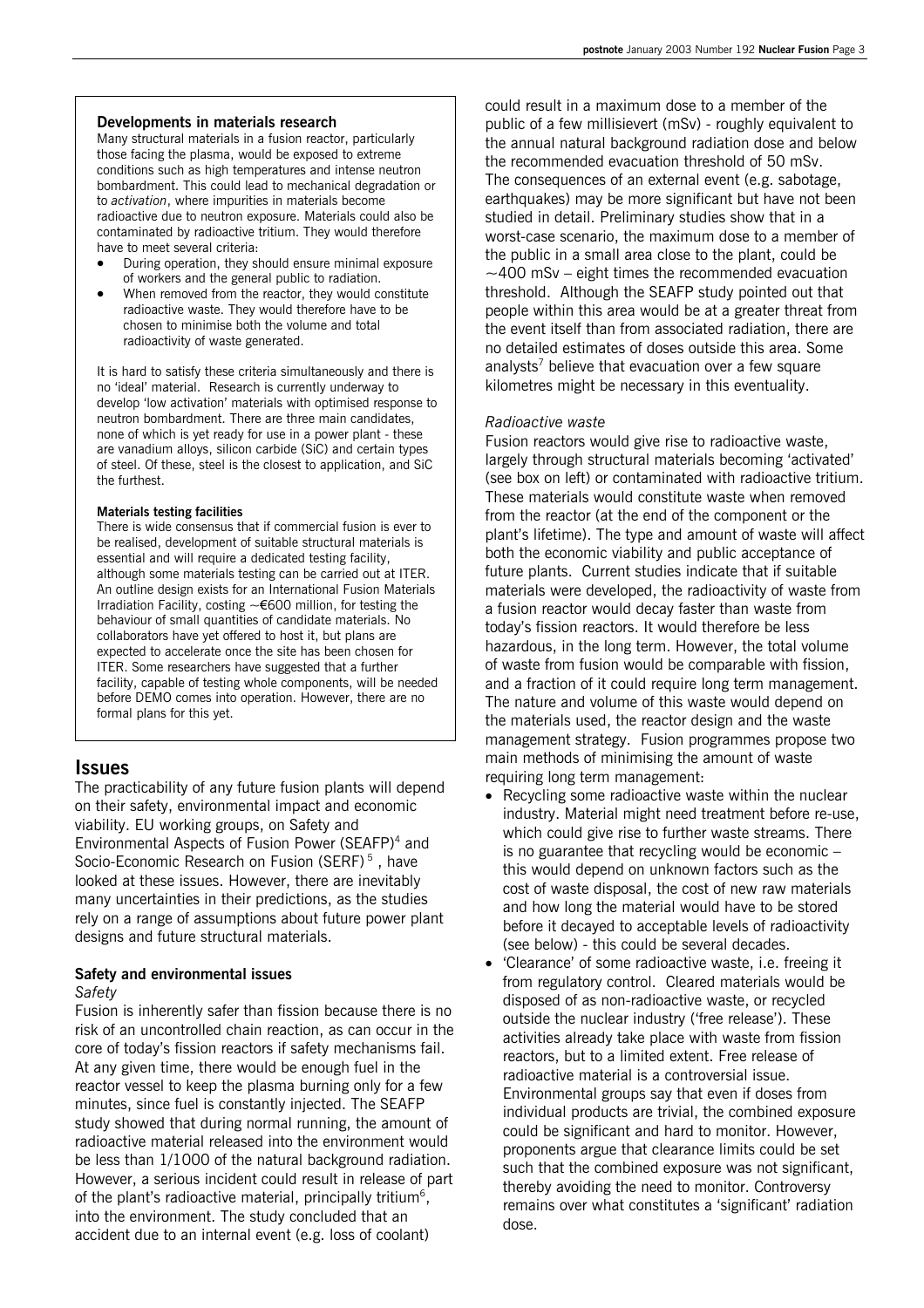# **Developments in materials research**

Many structural materials in a fusion reactor, particularly those facing the plasma, would be exposed to extreme conditions such as high temperatures and intense neutron bombardment. This could lead to mechanical degradation or to *activation*, where impurities in materials become radioactive due to neutron exposure. Materials could also be contaminated by radioactive tritium. They would therefore have to meet several criteria:

- During operation, they should ensure minimal exposure of workers and the general public to radiation.
- When removed from the reactor, they would constitute radioactive waste. They would therefore have to be chosen to minimise both the volume and total radioactivity of waste generated.

It is hard to satisfy these criteria simultaneously and there is no 'ideal' material. Research is currently underway to develop 'low activation' materials with optimised response to neutron bombardment. There are three main candidates, none of which is yet ready for use in a power plant - these are vanadium alloys, silicon carbide (SiC) and certain types of steel. Of these, steel is the closest to application, and SiC the furthest.

# **Materials testing facilities**

There is wide consensus that if commercial fusion is ever to be realised, development of suitable structural materials is essential and will require a dedicated testing facility, although some materials testing can be carried out at ITER. An outline design exists for an International Fusion Materials Irradiation Facility, costing  $~\sim 600$  million, for testing the behaviour of small quantities of candidate materials. No collaborators have yet offered to host it, but plans are expected to accelerate once the site has been chosen for ITER. Some researchers have suggested that a further facility, capable of testing whole components, will be needed before DEMO comes into operation. However, there are no formal plans for this yet.

# **Issues**

The practicability of any future fusion plants will depend on their safety, environmental impact and economic viability. EU working groups, on Safety and Environmental Aspects of Fusion Power (SEAFP)<sup>4</sup> and Socio-Economic Research on Fusion (SERF)<sup>5</sup>, have looked at these issues. However, there are inevitably many uncertainties in their predictions, as the studies rely on a range of assumptions about future power plant designs and future structural materials.

# **Safety and environmental issues**  *Safety*

Fusion is inherently safer than fission because there is no risk of an uncontrolled chain reaction, as can occur in the core of today's fission reactors if safety mechanisms fail. At any given time, there would be enough fuel in the reactor vessel to keep the plasma burning only for a few minutes, since fuel is constantly injected. The SEAFP study showed that during normal running, the amount of radioactive material released into the environment would be less than 1/1000 of the natural background radiation. However, a serious incident could result in release of part of the plant's radioactive material, principally tritium<sup>6</sup>, into the environment. The study concluded that an accident due to an internal event (e.g. loss of coolant)

could result in a maximum dose to a member of the public of a few millisievert (mSv) - roughly equivalent to the annual natural background radiation dose and below the recommended evacuation threshold of 50 mSv. The consequences of an external event (e.g. sabotage, earthquakes) may be more significant but have not been studied in detail. Preliminary studies show that in a worst-case scenario, the maximum dose to a member of the public in a small area close to the plant, could be  $\sim$  400 mSv – eight times the recommended evacuation threshold. Although the SEAFP study pointed out that people within this area would be at a greater threat from the event itself than from associated radiation, there are no detailed estimates of doses outside this area. Some analysts<sup>7</sup> believe that evacuation over a few square kilometres might be necessary in this eventuality.

# *Radioactive waste*

Fusion reactors would give rise to radioactive waste, largely through structural materials becoming 'activated' (see box on left) or contaminated with radioactive tritium. These materials would constitute waste when removed from the reactor (at the end of the component or the plant's lifetime). The type and amount of waste will affect both the economic viability and public acceptance of future plants. Current studies indicate that if suitable materials were developed, the radioactivity of waste from a fusion reactor would decay faster than waste from today's fission reactors. It would therefore be less hazardous, in the long term. However, the total volume of waste from fusion would be comparable with fission, and a fraction of it could require long term management. The nature and volume of this waste would depend on the materials used, the reactor design and the waste management strategy. Fusion programmes propose two main methods of minimising the amount of waste requiring long term management:

- Recycling some radioactive waste within the nuclear industry. Material might need treatment before re-use, which could give rise to further waste streams. There is no guarantee that recycling would be economic – this would depend on unknown factors such as the cost of waste disposal, the cost of new raw materials and how long the material would have to be stored before it decayed to acceptable levels of radioactivity (see below) - this could be several decades.
- 'Clearance' of some radioactive waste, i.e. freeing it from regulatory control. Cleared materials would be disposed of as non-radioactive waste, or recycled outside the nuclear industry ('free release'). These activities already take place with waste from fission reactors, but to a limited extent. Free release of radioactive material is a controversial issue. Environmental groups say that even if doses from individual products are trivial, the combined exposure could be significant and hard to monitor. However, proponents argue that clearance limits could be set such that the combined exposure was not significant, thereby avoiding the need to monitor. Controversy remains over what constitutes a 'significant' radiation dose.